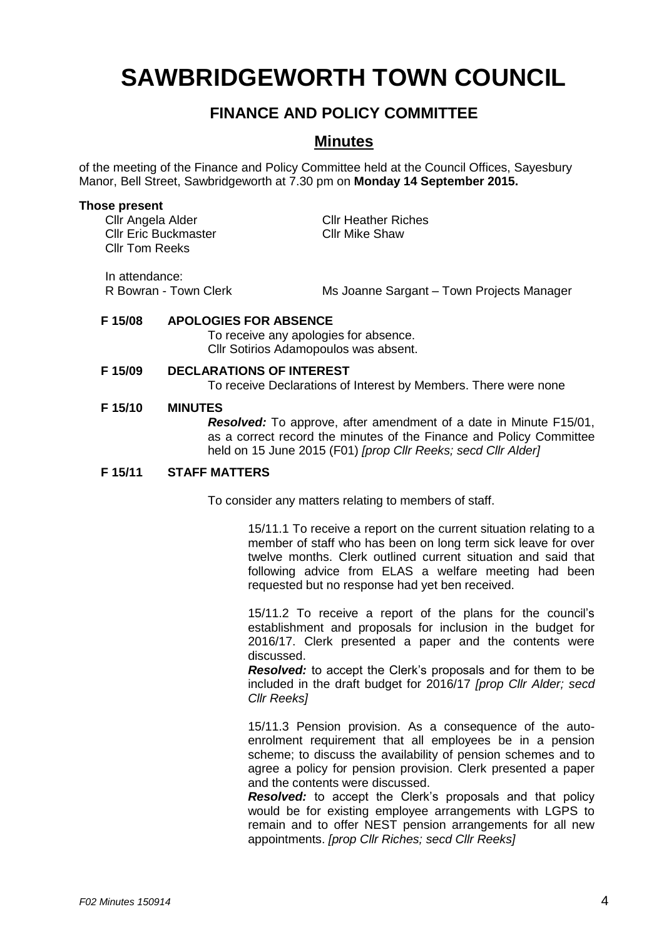# **SAWBRIDGEWORTH TOWN COUNCIL**

## **FINANCE AND POLICY COMMITTEE**

### **Minutes**

of the meeting of the Finance and Policy Committee held at the Council Offices, Sayesbury Manor, Bell Street, Sawbridgeworth at 7.30 pm on **Monday 14 September 2015.**

#### **Those present**

Cllr Angela Alder Cllr Heather Riches<br>
Cllr Eric Buckmaster
Cllr Mike Shaw Cllr Eric Buckmaster Cllr Tom Reeks

In attendance:

R Bowran - Town Clerk Ms Joanne Sargant – Town Projects Manager

#### **F 15/08 APOLOGIES FOR ABSENCE**

To receive any apologies for absence. Cllr Sotirios Adamopoulos was absent.

#### **F 15/09 DECLARATIONS OF INTEREST**

To receive Declarations of Interest by Members. There were none

#### **F 15/10 MINUTES**

**Resolved:** To approve, after amendment of a date in Minute F15/01. as a correct record the minutes of the Finance and Policy Committee held on 15 June 2015 (F01) *[prop Cllr Reeks; secd Cllr Alder]*

#### **F 15/11 STAFF MATTERS**

To consider any matters relating to members of staff.

15/11.1 To receive a report on the current situation relating to a member of staff who has been on long term sick leave for over twelve months. Clerk outlined current situation and said that following advice from ELAS a welfare meeting had been requested but no response had yet ben received.

15/11.2 To receive a report of the plans for the council's establishment and proposals for inclusion in the budget for 2016/17. Clerk presented a paper and the contents were discussed.

*Resolved:* to accept the Clerk's proposals and for them to be included in the draft budget for 2016/17 *[prop Cllr Alder; secd Cllr Reeks]*

15/11.3 Pension provision. As a consequence of the autoenrolment requirement that all employees be in a pension scheme; to discuss the availability of pension schemes and to agree a policy for pension provision. Clerk presented a paper and the contents were discussed.

*Resolved:* to accept the Clerk's proposals and that policy would be for existing employee arrangements with LGPS to remain and to offer NEST pension arrangements for all new appointments. *[prop Cllr Riches; secd Cllr Reeks]*